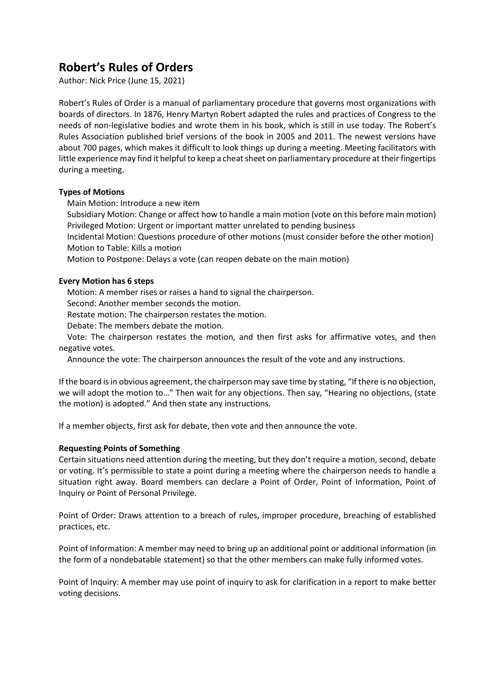# **Robert's Rules of Orders**

Author: Nick Price (June 15, 2021)

Robert's Rules of Order is a manual of parliamentary procedure that governs most organizations with boards of directors. In 1876, Henry Martyn Robert adapted the rules and practices of Congress to the needs of non-legislative bodies and wrote them in his book, which is still in use today. The Robert's Rules Association published brief versions of the book in 2005 and 2011. The newest versions have about 700 pages, which makes it difficult to look things up during a meeting. Meeting facilitators with little experience may find it helpful to keep a cheat sheet on parliamentary procedure at their fingertips during a meeting.

# **Types of Motions**

Main Motion: Introduce a new item

 Subsidiary Motion: Change or affect how to handle a main motion (vote on this before main motion) Privileged Motion: Urgent or important matter unrelated to pending business

 Incidental Motion: Questions procedure of other motions (must consider before the other motion) Motion to Table: Kills a motion

Motion to Postpone: Delays a vote (can reopen debate on the main motion)

# **Every Motion has 6 steps**

Motion: A member rises or raises a hand to signal the chairperson.

Second: Another member seconds the motion.

Restate motion: The chairperson restates the motion.

Debate: The members debate the motion.

 Vote: The chairperson restates the motion, and then first asks for affirmative votes, and then negative votes.

Announce the vote: The chairperson announces the result of the vote and any instructions.

If the board is in obvious agreement, the chairperson may save time by stating, "If there is no objection, we will adopt the motion to…" Then wait for any objections. Then say, "Hearing no objections, (state the motion) is adopted." And then state any instructions.

If a member objects, first ask for debate, then vote and then announce the vote.

# **Requesting Points of Something**

Certain situations need attention during the meeting, but they don't require a motion, second, debate or voting. It's permissible to state a point during a meeting where the chairperson needs to handle a situation right away. Board members can declare a Point of Order, Point of Information, Point of Inquiry or Point of Personal Privilege.

Point of Order: Draws attention to a breach of rules, improper procedure, breaching of established practices, etc.

Point of Information: A member may need to bring up an additional point or additional information (in the form of a nondebatable statement) so that the other members can make fully informed votes.

Point of Inquiry: A member may use point of inquiry to ask for clarification in a report to make better voting decisions.